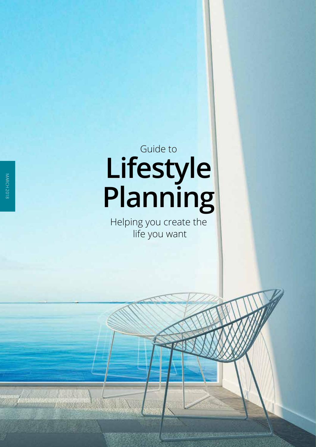# **Lifestyle Planning** Guide to

Helping you create the life you want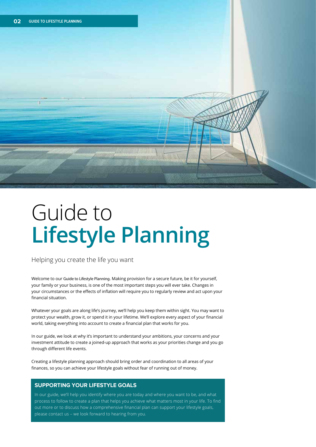

## Guide to **Lifestyle Planning**

Helping you create the life you want

Welcome to our Guide to Lifestyle Planning. Making provision for a secure future, be it for yourself, your family or your business, is one of the most important steps you will ever take. Changes in your circumstances or the effects of inflation will require you to regularly review and act upon your financial situation.

Whatever your goals are along life's journey, we'll help you keep them within sight. You may want to protect your wealth, grow it, or spend it in your lifetime. We'll explore every aspect of your financial world, taking everything into account to create a financial plan that works for you.

In our guide, we look at why it's important to understand your ambitions, your concerns and your investment attitude to create a joined-up approach that works as your priorities change and you go through different life events.

Creating a lifestyle planning approach should bring order and coordination to all areas of your finances, so you can achieve your lifestyle goals without fear of running out of money.

#### **SUPPORTING YOUR LIFESTYLE GOALS**

In our guide, we'll help you identify where you are today and where you want to be, and what process to follow to create a plan that helps you achieve what matters most in your life. To find out more or to discuss how a comprehensive financial plan can support your lifestyle goals, please contact us – we look forward to hearing from you.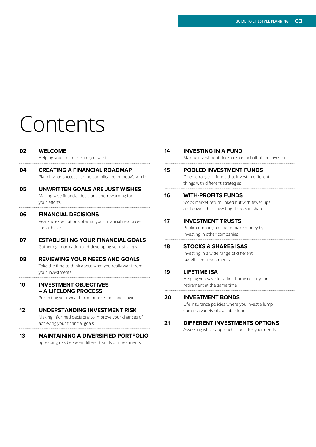## Contents

| 02 | <b>WELCOME</b><br>Helping you create the life you want                                                                         |
|----|--------------------------------------------------------------------------------------------------------------------------------|
| 04 | <b>CREATING A FINANCIAL ROADMAP</b><br>Planning for success can be complicated in today's world                                |
| 05 | UNWRITTEN GOALS ARE JUST WISHES<br>Making wise financial decisions and rewarding for<br>your efforts                           |
| 06 | <b>FINANCIAL DECISIONS</b><br>Realistic expectations of what your financial resources<br>can achieve                           |
| 07 | <b>ESTABLISHING YOUR FINANCIAL GOALS</b><br>Gathering information and developing your strategy                                 |
| 08 | <b>REVIEWING YOUR NEEDS AND GOALS</b><br>Take the time to think about what you really want from<br>your investments            |
| 10 | <b>INVESTMENT OBJECTIVES</b><br>- A LIFELONG PROCESS<br>Protecting your wealth from market ups and downs                       |
| 12 | <b>UNDERSTANDING INVESTMENT RISK</b><br>Making informed decisions to improve your chances of<br>achieving your financial goals |
| 13 | <b>MAINTAINING A DIVERSIFIED PORTFOLIO</b>                                                                                     |

Spreading risk between different kinds of investments

| 14 | <b>INVESTING IN A FUND</b><br>Making investment decisions on behalf of the investor                                       |
|----|---------------------------------------------------------------------------------------------------------------------------|
| 15 | <b>POOLED INVESTMENT FUNDS</b><br>Diverse range of funds that invest in different<br>things with different strategies     |
| 16 | <b>WITH-PROFITS FUNDS</b><br>Stock market return linked but with fewer ups<br>and downs than investing directly in shares |
| 17 | <b>INVESTMENT TRUSTS</b><br>Public company aiming to make money by<br>investing in other companies                        |
| 18 | <b>STOCKS &amp; SHARES ISAS</b><br>Investing in a wide range of different<br>tax-efficient investments                    |
| 19 | <b>LIFETIME ISA</b><br>Helping you save for a first home or for your<br>retirement at the same time                       |
| 20 | <b>INVESTMENT BONDS</b><br>Life insurance policies where you invest a lump<br>sum in a variety of available funds         |
| 21 | <b>DIFFERENT INVESTMENTS OPTIONS</b><br>Assessing which approach is best for your needs                                   |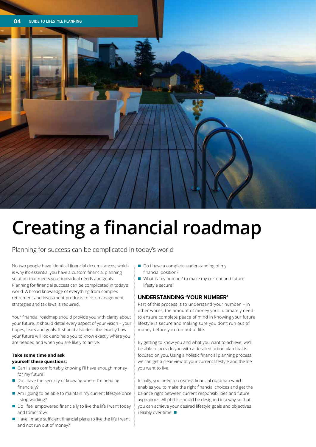

Planning for success can be complicated in today's world

No two people have identical financial circumstances, which is why it's essential you have a custom financial planning solution that meets your individual needs and goals. Planning for financial success can be complicated in today's world. A broad knowledge of everything from complex retirement and investment products to risk management strategies and tax laws is required.

Your financial roadmap should provide you with clarity about your future. It should detail every aspect of your vision – your hopes, fears and goals. It should also describe exactly how your future will look and help you to know exactly where you are headed and when you are likely to arrive.

#### **Take some time and ask yourself these questions:**

- Can I sleep comfortably knowing I'll have enough money for my future?
- Do I have the security of knowing where I'm heading financially?
- $\blacksquare$  Am I going to be able to maintain my current lifestyle once I stop working?
- Do I feel empowered financially to live the life I want today and tomorrow?
- $\blacksquare$  Have I made sufficient financial plans to live the life I want and not run out of money?
- Do I have a complete understanding of my financial position?
- What is 'my number' to make my current and future lifestyle secure?

#### **UNDERSTANDING 'YOUR NUMBER'**

Part of this process is to understand 'your number' – in other words, the amount of money you'll ultimately need to ensure complete peace of mind in knowing your future lifestyle is secure and making sure you don't run out of money before you run out of life.

By getting to know you and what you want to achieve, we'll be able to provide you with a detailed action plan that is focused on you. Using a holistic financial planning process, we can get a clear view of your current lifestyle and the life you want to live.

Initially, you need to create a financial roadmap which enables you to make the right financial choices and get the balance right between current responsibilities and future aspirations. All of this should be designed in a way so that you can achieve your desired lifestyle goals and objectives reliably over time.  $\blacksquare$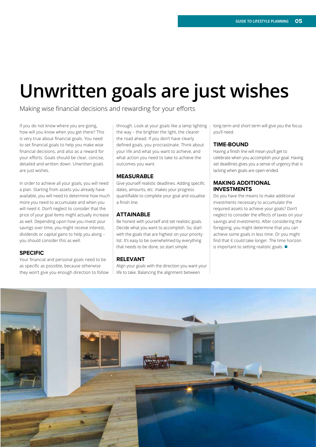### **Unwritten goals are just wishes**

Making wise financial decisions and rewarding for your efforts

If you do not know where you are going, how will you know when you get there? This is very true about financial goals. You need to set financial goals to help you make wise financial decisions, and also as a reward for your efforts. Goals should be clear, concise, detailed and written down. Unwritten goals are just wishes.

In order to achieve all your goals, you will need a plan. Starting from assets you already have available, you will need to determine how much more you need to accumulate and when you will need it. Don't neglect to consider that the price of your goal items might actually increase as well. Depending upon how you invest your savings over time, you might receive interest, dividends or capital gains to help you along – you should consider this as well.

#### **SPECIFIC**

Your financial and personal goals need to be as specific as possible, because otherwise they won't give you enough direction to follow through. Look at your goals like a lamp lighting the way – the brighter the light, the clearer the road ahead. If you don't have clearly defined goals, you procrastinate. Think about your life and what you want to achieve, and what action you need to take to achieve the outcomes you want.

#### **MEASURABLE**

Give yourself realistic deadlines. Adding specific dates, amounts, etc. makes your progress quantifiable to complete your goal and visualise a finish line.

#### **ATTAINABLE**

Be honest with yourself and set realistic goals. Decide what you want to accomplish. So, start with the goals that are highest on your priority list. It's easy to be overwhelmed by everything that needs to be done, so start simple.

#### **RELEVANT**

Align your goals with the direction you want your life to take. Balancing the alignment between

long term and short term will give you the focus you'll need.

#### **TIME-BOUND**

Having a finish line will mean you'll get to celebrate when you accomplish your goal. Having set deadlines gives you a sense of urgency that is lacking when goals are open-ended.

#### **MAKING ADDITIONAL INVESTMENTS**

Do you have the means to make additional investments necessary to accumulate the required assets to achieve your goals? Don't neglect to consider the effects of taxes on your savings and investments. After considering the foregoing, you might determine that you can achieve some goals in less time. Or you might find that it could take longer. The time horizon is important to setting realistic goals.  $\blacksquare$ 

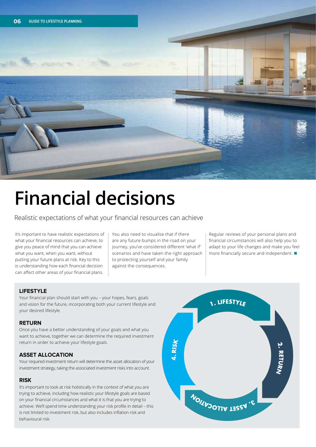

## **Financial decisions**

Realistic expectations of what your financial resources can achieve

It's important to have realistic expectations of what your financial resources can achieve, to give you peace of mind that you can achieve what you want, when you want, without putting your future plans at risk. Key to this is understanding how each financial decision can affect other areas of your financial plans.

You also need to visualise that if there are any future bumps in the road on your journey, you've considered different 'what if' scenarios and have taken the right approach to protecting yourself and your family against the consequences.

Regular reviews of your personal plans and financial circumstances will also help you to adapt to your life changes and make you feel more financially secure and independent.  $\blacksquare$ 

#### **LIFESTYLE**

Your financial plan should start with you – your hopes, fears, goals and vision for the future, incorporating both your current lifestyle and your desired lifestyle.

#### **RETURN**

Once you have a better understanding of your goals and what you want to achieve, together we can determine the required investment return in order to achieve your lifestyle goals.

#### **ASSET ALLOCATION**

Your required investment return will determine the asset allocation of your investment strategy, taking the associated investment risks into account.

#### **RISK**

It's important to look at risk holistically in the context of what you are trying to achieve, including how realistic your lifestyle goals are based on your financial circumstances and what it is that you are trying to achieve. We'll spend time understanding your risk profile in detail – this is not limited to investment risk, but also includes inflation risk and behavioural risk.

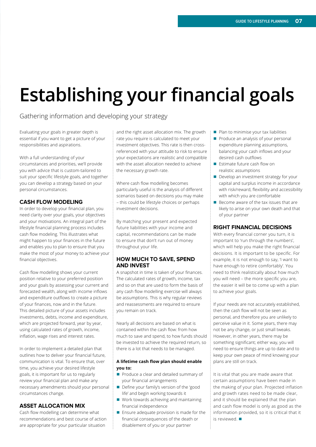## **Establishing your financial goals**

#### Gathering information and developing your strategy

Evaluating your goals in greater depth is essential if you want to get a picture of your responsibilities and aspirations.

With a full understanding of your circumstances and priorities, we'll provide you with advice that is custom-tailored to suit your specific lifestyle goals, and together you can develop a strategy based on your personal circumstances.

#### **CASH FLOW MODELING**

In order to develop your financial plan, you need clarity over your goals, your objectives and your motivations. An integral part of the lifestyle financial planning process includes cash flow modeling. This illustrates what might happen to your finances in the future and enables you to plan to ensure that you make the most of your money to achieve your financial objectives.

Cash flow modelling shows your current position relative to your preferred position and your goals by assessing your current and forecasted wealth, along with income inflows and expenditure outflows to create a picture of your finances, now and in the future. This detailed picture of your assets includes investments, debts, income and expenditure, which are projected forward, year by year, using calculated rates of growth, income, inflation, wage rises and interest rates.

In order to implement a detailed plan that outlines how to deliver your financial future, communication is vital. To ensure that, over time, you achieve your desired lifestyle goals, it is important for us to regularly review your financial plan and make any necessary amendments should your personal circumstances change.

#### **ASSET ALLOCATION MIX**

Cash flow modelling can determine what recommendations and best course of action are appropriate for your particular situation

and the right asset allocation mix. The growth rate you require is calculated to meet your investment objectives. This rate is then crossreferenced with your attitude to risk to ensure your expectations are realistic and compatible with the asset allocation needed to achieve the necessary growth rate.

Where cash flow modelling becomes particularly useful is the analysis of different scenarios based on decisions you may make – this could be lifestyle choices or perhaps investment decisions.

By matching your present and expected future liabilities with your income and capital, recommendations can be made to ensure that don't run out of money throughout your life.

#### **HOW MUCH TO SAVE, SPEND AND INVEST**

A snapshot in time is taken of your finances. The calculated rates of growth, income, tax and so on that are used to form the basis of any cash flow modelling exercise will always be assumptions. This is why regular reviews and reassessments are required to ensure you remain on track.

Nearly all decisions are based on what is contained within the cash flow: from how much to save and spend, to how funds should be invested to achieve the required return, so there is a lot that needs to be managed.

#### **A lifetime cash flow plan should enable you to:**

- Produce a clear and detailed summary of your financial arrangements
- Define your family's version of the 'good life' and begin working towards it
- Work towards achieving and maintaining financial independence
- $\blacksquare$  Ensure adequate provision is made for the financial consequences of the death or disablement of you or your partner
- $\blacksquare$  Plan to minimise your tax liabilities
- **Produce an analysis of your personal** expenditure planning assumptions, balancing your cash inflows and your desired cash outflows
- $\blacksquare$  Estimate future cash flow on realistic assumptions
- Develop an investment strategy for your capital and surplus income in accordance with risk/reward, flexibility and accessibility with which you are comfortable
- $\blacksquare$  Become aware of the tax issues that are likely to arise on your own death and that of your partner

#### **RIGHT FINANCIAL DECISIONS**

With every financial corner you turn, it is important to 'run through the numbers', which will help you make the right financial decisions. It is important to be specific. For example, it is not enough to say, 'I want to have enough to retire comfortably'. You need to think realistically about how much you will need – the more specific you are, the easier it will be to come up with a plan to achieve your goals.

If your needs are not accurately established, then the cash flow will not be seen as personal, and therefore you are unlikely to perceive value in it. Some years, there may not be any change, or just small tweaks. However, in other years, there may be something significant; either way, you will need to ensure things are up to date and to keep your own peace of mind knowing your plans are still on track.

It is vital that you are made aware that certain assumptions have been made in the making of your plan. Projected inflation and growth rates need to be made clear, and it should be explained that the plan and cash flow model is only as good as the information provided, so it is critical that it  $i$ s reviewed.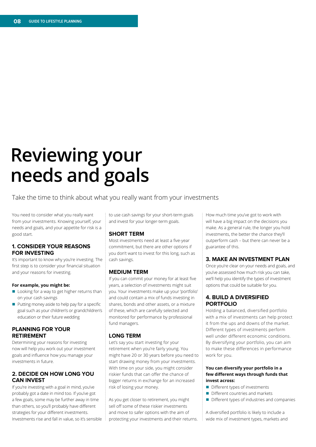### **Reviewing your needs and goals**

#### Take the time to think about what you really want from your investments

You need to consider what you really want from your investments. Knowing yourself, your needs and goals, and your appetite for risk is a good start.

#### **1. CONSIDER YOUR REASONS FOR INVESTING**

It's important to know why you're investing. The first step is to consider your financial situation and your reasons for investing.

#### **For example, you might be:**

- $\blacksquare$  Looking for a way to get higher returns than on your cash savings
- $\blacksquare$  Putting money aside to help pay for a specific goal such as your children's or grandchildren's education or their future wedding

#### **PLANNING FOR YOUR RETIREMENT**

Determining your reasons for investing now will help you work out your investment goals and influence how you manage your investments in future.

#### **2. DECIDE ON HOW LONG YOU CAN INVEST**

If you're investing with a goal in mind, you've probably got a date in mind too. If you've got a few goals, some may be further away in time than others, so you'll probably have different strategies for your different investments. Investments rise and fall in value, so it's sensible to use cash savings for your short-term goals and invest for your longer-term goals.

#### **SHORT TERM**

Most investments need at least a five-year commitment, but there are other options if you don't want to invest for this long, such as cash savings.

#### **MEDIUM TERM**

If you can commit your money for at least five years, a selection of investments might suit you. Your investments make up your 'portfolio' and could contain a mix of funds investing in shares, bonds and other assets, or a mixture of these, which are carefully selected and monitored for performance by professional fund managers.

#### **LONG TERM**

Let's say you start investing for your retirement when you're fairly young. You might have 20 or 30 years before you need to start drawing money from your investments. With time on your side, you might consider riskier funds that can offer the chance of bigger returns in exchange for an increased risk of losing your money.

As you get closer to retirement, you might sell off some of these riskier investments and move to safer options with the aim of protecting your investments and their returns. How much time you've got to work with will have a big impact on the decisions you make. As a general rule, the longer you hold investments, the better the chance they'll outperform cash – but there can never be a guarantee of this.

#### **3. MAKE AN INVESTMENT PLAN**

Once you're clear on your needs and goals, and you've assessed how much risk you can take, we'll help you identify the types of investment options that could be suitable for you.

#### **4. BUILD A DIVERSIFIED PORTFOLIO**

Holding a balanced, diversified portfolio with a mix of investments can help protect it from the ups and downs of the market. Different types of investments perform well under different economic conditions. By diversifying your portfolio, you can aim to make these differences in performance work for you.

#### **You can diversify your portfolio in a few different ways through funds that invest across:**

- $\blacksquare$  Different types of investments
- n Different countries and markets
- $\blacksquare$  Different types of industries and companies

A diversified portfolio is likely to include a wide mix of investment types, markets and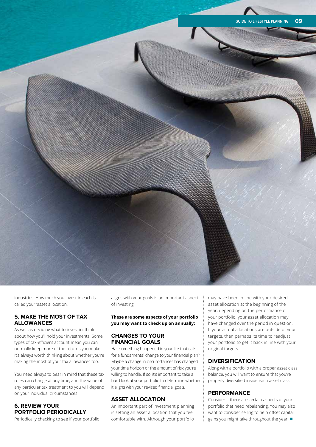

industries. How much you invest in each is called your 'asset allocation'.

#### **5. MAKE THE MOST OF TAX ALLOWANCES**

As well as deciding what to invest in, think about how you'll hold your investments. Some types of tax-efficient account mean you can normally keep more of the returns you make. It's always worth thinking about whether you're making the most of your tax allowances too.

You need always to bear in mind that these tax rules can change at any time, and the value of any particular tax treatment to you will depend on your individual circumstances.

#### **6. REVIEW YOUR PORTFOLIO PERIODICALLY**

Periodically checking to see if your portfolio

aligns with your goals is an important aspect of investing.

#### **These are some aspects of your portfolio you may want to check up on annually:**

#### **CHANGES TO YOUR FINANCIAL GOALS**

Has something happened in your life that calls for a fundamental change to your financial plan? Maybe a change in circumstances has changed your time horizon or the amount of risk you're willing to handle. If so, it's important to take a hard look at your portfolio to determine whether it aligns with your revised financial goals.

#### **ASSET ALLOCATION**

An important part of investment planning is setting an asset allocation that you feel comfortable with. Although your portfolio

may have been in line with your desired asset allocation at the beginning of the year, depending on the performance of your portfolio, your asset allocation may have changed over the period in question. If your actual allocations are outside of your targets, then perhaps its time to readjust your portfolio to get it back in line with your original targets.

#### **DIVERSIFICATION**

Along with a portfolio with a proper asset class balance, you will want to ensure that you're properly diversified inside each asset class.

#### **PERFORMANCE**

Consider if there are certain aspects of your portfolio that need rebalancing. You may also want to consider selling to help offset capital gains you might take throughout the year.  $\blacksquare$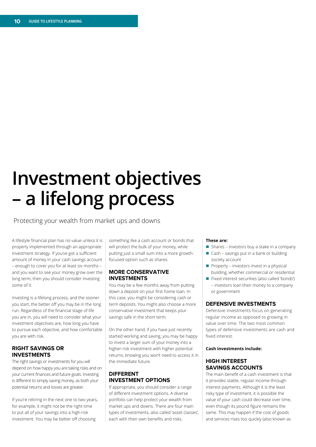### **Investment objectives – a lifelong process**

Protecting your wealth from market ups and downs

A lifestyle financial plan has no value unless it is properly implemented through an appropriate investment strategy. If you've got a sufficient amount of money in your cash savings account – enough to cover you for at least six months – and you want to see your money grow over the long term, then you should consider investing some of it.

Investing is a lifelong process, and the sooner you start, the better off you may be in the long run. Regardless of the financial stage of life you are in, you will need to consider what your investment objectives are, how long you have to pursue each objective, and how comfortable you are with risk.

#### **RIGHT SAVINGS OR INVESTMENTS**

The right savings or investments for you will depend on how happy you are taking risks and on your current finances and future goals. Investing is different to simply saving money, as both your potential returns and losses are greater.

If you're retiring in the next one to two years, for example, it might not be the right time to put all of your savings into a high-risk investment. You may be better off choosing

something like a cash account or bonds that will protect the bulk of your money, while putting just a small sum into a more growthfocused option such as shares.

#### **MORE CONSERVATIVE INVESTMENTS**

You may be a few months away from putting down a deposit on your first home loan. In this case, you might be considering cash or term deposits. You might also choose a more conservative investment that keeps your savings safe in the short term.

On the other hand, if you have just recently started working and saving, you may be happy to invest a larger sum of your money into a higher-risk investment with higher potential returns, knowing you won't need to access it in the immediate future.

#### **DIFFERENT INVESTMENT OPTIONS**

If appropriate, you should consider a range of different investment options. A diverse portfolio can help protect your wealth from market ups and downs. There are four main types of investments, also called 'asset classes', each with their own benefits and risks.

#### **These are:**

- $\blacksquare$  Shares investors buy a stake in a company
- $\Box$  Cash savings put in a bank or building society account
- $\blacksquare$  Property investors invest in a physical building, whether commercial or residential
- Fixed interest securities (also called 'bonds') – investors loan their money to a company or government

#### **DEFENSIVE INVESTMENTS**

Defensive investments focus on generating regular income as opposed to growing in value over time. The two most common types of defensive investments are cash and fixed interest.

#### **Cash investments include:**

#### **HIGH INTEREST SAVINGS ACCOUNTS**

The main benefit of a cash investment is that it provides stable, regular income through interest payments. Although it is the least risky type of investment, it is possible the value of your cash could decrease over time, even though its pound figure remains the same. This may happen if the cost of goods and services rises too quickly (also known as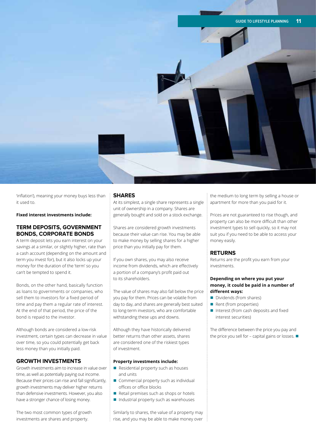

'inflation'), meaning your money buys less than it used to.

**Fixed interest investments include:**

#### **TERM DEPOSITS, GOVERNMENT BONDS, CORPORATE BONDS**

A term deposit lets you earn interest on your savings at a similar, or slightly higher, rate than a cash account (depending on the amount and term you invest for), but it also locks up your money for the duration of the 'term' so you can't be tempted to spend it.

Bonds, on the other hand, basically function as loans to governments or companies, who sell them to investors for a fixed period of time and pay them a regular rate of interest. At the end of that period, the price of the bond is repaid to the investor.

Although bonds are considered a low-risk investment, certain types can decrease in value over time, so you could potentially get back less money than you initially paid.

#### **GROWTH INVESTMENTS**

Growth investments aim to increase in value over time, as well as potentially paying out income. Because their prices can rise and fall significantly, growth investments may deliver higher returns than defensive investments. However, you also have a stronger chance of losing money.

The two most common types of growth investments are shares and property.

#### **SHARES**

At its simplest, a single share represents a single unit of ownership in a company. Shares are generally bought and sold on a stock exchange.

Shares are considered growth investments because their value can rise. You may be able to make money by selling shares for a higher price than you initially pay for them.

If you own shares, you may also receive income from dividends, which are effectively a portion of a company's profit paid out to its shareholders.

The value of shares may also fall below the price you pay for them. Prices can be volatile from day to day, and shares are generally best suited to long-term investors, who are comfortable withstanding these ups and downs.

Although they have historically delivered better returns than other assets, shares are considered one of the riskiest types of investment.

#### **Property investments include:**

- $\blacksquare$  Residential property such as houses and units
- $\blacksquare$  Commercial property such as individual offices or office blocks
- $\blacksquare$  Retail premises such as shops or hotels
- $\blacksquare$  Industrial property such as warehouses

Similarly to shares, the value of a property may rise, and you may be able to make money over the medium to long term by selling a house or apartment for more than you paid for it.

Prices are not guaranteed to rise though, and property can also be more difficult than other investment types to sell quickly, so it may not suit you if you need to be able to access your money easily.

#### **RETURNS**

Returns are the profit you earn from your investments.

#### **Depending on where you put your money, it could be paid in a number of different ways:**

- Dividends (from shares)
- $\blacksquare$  Rent (from properties)
- $\blacksquare$  Interest (from cash deposits and fixed interest securities)

The difference between the price you pay and the price you sell for – capital gains or losses.  $\blacksquare$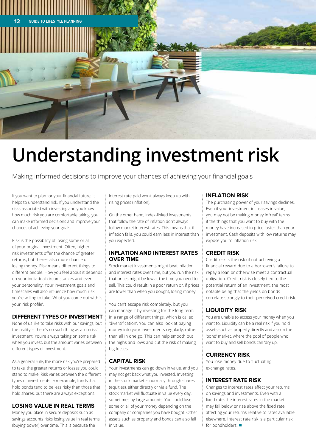

## **Understanding investment risk**

Making informed decisions to improve your chances of achieving your financial goals

If you want to plan for your financial future, it helps to understand risk. If you understand the risks associated with investing and you know how much risk you are comfortable taking, you can make informed decisions and improve your chances of achieving your goals.

Risk is the possibility of losing some or all of your original investment. Often, higherrisk investments offer the chance of greater returns, but there's also more chance of losing money. Risk means different things to different people. How you feel about it depends on your individual circumstances and even your personality. Your investment goals and timescales will also influence how much risk you're willing to take. What you come out with is your 'risk profile'.

#### **DIFFERENT TYPES OF INVESTMENT**

None of us like to take risks with our savings, but the reality is there's no such thing as a 'no-risk' investment. You're always taking on some risk when you invest, but the amount varies between different types of investment.

As a general rule, the more risk you're prepared to take, the greater returns or losses you could stand to make. Risk varies between the different types of investments. For example, funds that hold bonds tend to be less risky than those that hold shares, but there are always exceptions.

#### **LOSING VALUE IN REAL TERMS**

Money you place in secure deposits such as savings accounts risks losing value in real terms (buying power) over time. This is because the

interest rate paid won't always keep up with rising prices (inflation).

On the other hand, index-linked investments that follow the rate of inflation don't always follow market interest rates. This means that if inflation falls, you could earn less in interest than you expected.

#### **INFLATION AND INTEREST RATES OVER TIME**

Stock market investments might beat inflation and interest rates over time, but you run the risk that prices might be low at the time you need to sell. This could result in a poor return or, if prices are lower than when you bought, losing money.

You can't escape risk completely, but you can manage it by investing for the long term in a range of different things, which is called 'diversification'. You can also look at paying money into your investments regularly, rather than all in one go. This can help smooth out the highs and lows and cut the risk of making big losses.

#### **CAPITAL RISK**

Your investments can go down in value, and you may not get back what you invested. Investing in the stock market is normally through shares (equities), either directly or via a fund. The stock market will fluctuate in value every day, sometimes by large amounts. You could lose some or all of your money depending on the company or companies you have bought. Other assets such as property and bonds can also fall in value.

#### **INFLATION RISK**

The purchasing power of your savings declines. Even if your investment increases in value, you may not be making money in 'real' terms if the things that you want to buy with the money have increased in price faster than your investment. Cash deposits with low returns may expose you to inflation risk.

#### **CREDIT RISK**

Credit risk is the risk of not achieving a financial reward due to a borrower's failure to repay a loan or otherwise meet a contractual obligation. Credit risk is closely tied to the potential return of an investment, the most notable being that the yields on bonds correlate strongly to their perceived credit risk.

#### **LIQUIDITY RISK**

You are unable to access your money when you want to. Liquidity can be a real risk if you hold assets such as property directly and also in the 'bond' market, where the pool of people who want to buy and sell bonds can 'dry up'.

#### **CURRENCY RISK**

You lose money due to fluctuating exchange rates.

#### **INTEREST RATE RISK**

Changes to interest rates affect your returns on savings and investments. Even with a fixed rate, the interest rates in the market may fall below or rise above the fixed rate, affecting your returns relative to rates available elsewhere. Interest rate risk is a particular risk for bondholders  $\blacksquare$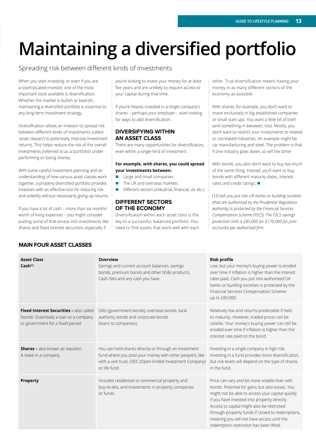## **Maintaining a diversified portfolio**

#### Spreading risk between different kinds of investments

When you start investing, or even if you are a sophisticated investor, one of the most important tools available is diversification. Whether the market is bullish or bearish, maintaining a diversified portfolio is essential to any long-term investment strategy.

Diversification allows an investor to spread risk between different kinds of investments (called 'asset classes') to potentially improve investment returns. This helps reduce the risk of the overall investments (referred to as a 'portfolio') underperforming or losing money.

With some careful investment planning and an understanding of how various asset classes work together, a properly diversified portfolio provides investors with an effective tool for reducing risk and volatility without necessarily giving up returns.

If you have a lot of cash – more than six months' worth of living expenses – you might consider putting some of that excess into investments like shares and fixed interest securities, especially if

you're looking to invest your money for at least five years and are unlikely to require access to your capital during that time.

If you're heavily invested in a single company's shares – perhaps your employer – start looking for ways to add diversification.

#### **DIVERSIFYING WITHIN AN ASSET CLASS**

There are many opportunities for diversification, even within a single kind of investment.

#### **For example, with shares, you could spread your investments between:**

- **n** Large and small companies
- The UK and overseas markets
- Different sectors (industrial, financial, oil, etc.)

#### **DIFFERENT SECTORS OF THE ECONOMY**

Diversification within each asset class is the key to a successful, balanced portfolio. You need to find assets that work well with each other. True diversification means having your money in as many different sectors of the economy as possible.

With shares, for example, you don't want to invest exclusively in big established companies or small start-ups. You want a little bit of both (and something in between, too). Mostly, you don't want to restrict your investments to related or correlated industries. An example might be car manufacturing and steel. The problem is that if one industry goes down, so will the other.

With bonds, you also don't want to buy too much of the same thing. Instead, you'll want to buy bonds with different maturity dates, interest rates and credit ratings.  $\blacksquare$ 

*[1] Cash you put into UK banks or building societies (that are authorised by the Prudential Regulation Authority) is protected by the Financial Services Compensation Scheme (FSCS). The FSCS savings protection limit is £85,000 (or £170,000 for joint accounts) per authorised firm.*

| <b>Asset Class</b><br>Cash <sup>[1]</sup>                                                                                | <b>Overview</b><br>Savings and current account balances, savings<br>bonds, premium bonds and other NS&I products,<br>Cash ISAs and any cash you have.                                         | <b>Risk profile</b><br>Low, but your money's buying power is eroded<br>over time if inflation is higher than the interest<br>rates paid. Cash you put into authorised UK<br>banks or building societies is protected by the<br>Financial Services Compensation Scheme<br>up to £85,000.                                                                                                         |
|--------------------------------------------------------------------------------------------------------------------------|-----------------------------------------------------------------------------------------------------------------------------------------------------------------------------------------------|-------------------------------------------------------------------------------------------------------------------------------------------------------------------------------------------------------------------------------------------------------------------------------------------------------------------------------------------------------------------------------------------------|
| Fixed Interest Securities - also called<br>'bonds'. Essentially a loan to a company<br>or government for a fixed period. | Gilts (government bonds), overseas bonds, local<br>authority bonds and corporate bonds<br>(loans to companies).                                                                               | Relatively low and returns predictable if held<br>to maturity. However, traded prices can be<br>volatile. Your money's buying power can still be<br>eroded over time if inflation is higher than the<br>interest rate paid on the bond.                                                                                                                                                         |
| <b>Shares - also known as 'equities'.</b><br>A stake in a company.                                                       | You can hold shares directly or through an investment<br>fund where you pool your money with other people's, like<br>with a unit trust, OEIC (Open-Ended Investment Company)<br>or life fund. | Investing in a single company is high risk.<br>Investing in a fund provides more diversification,<br>but risk levels will depend on the type of shares<br>in the fund.                                                                                                                                                                                                                          |
| <b>Property</b>                                                                                                          | Includes residential or commercial property and<br>buy-to-lets, and investments in property companies<br>or funds.                                                                            | Price can vary and be more volatile than with<br>bonds. Potential for gains but also losses. You<br>might not be able to access your capital quickly<br>if you have invested into property directly.<br>Access to capital might also be restricted<br>through property funds if closed to redemptions,<br>meaning you will not have access until the<br>redemption restriction has been lifted. |

#### **MAIN FOUR ASSET CLASSES**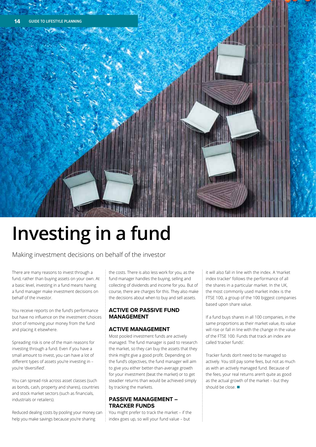# **Investing in a fund**

Making investment decisions on behalf of the investor

There are many reasons to invest through a fund, rather than buying assets on your own. At a basic level, investing in a fund means having a fund manager make investment decisions on behalf of the investor.

You receive reports on the fund's performance but have no influence on the investment choices short of removing your money from the fund and placing it elsewhere.

Spreading risk is one of the main reasons for investing through a fund. Even if you have a small amount to invest, you can have a lot of different types of assets you're investing in – you're 'diversified'.

You can spread risk across asset classes (such as bonds, cash, property and shares), countries and stock market sectors (such as financials, industrials or retailers).

Reduced dealing costs by pooling your money can help you make savings because you're sharing

the costs. There is also less work for you, as the fund manager handles the buying, selling and collecting of dividends and income for you. But of course, there are charges for this. They also make the decisions about when to buy and sell assets.

#### **ACTIVE OR PASSIVE FUND MANAGEMENT**

#### **ACTIVE MANAGEMENT**

Most pooled investment funds are actively managed. The fund manager is paid to research the market, so they can buy the assets that they think might give a good profit. Depending on the fund's objectives, the fund manager will aim to give you either better-than-average growth for your investment (beat the market) or to get steadier returns than would be achieved simply by tracking the markets.

#### **PASSIVE MANAGEMENT – TRACKER FUNDS**

You might prefer to track the market – if the index goes up, so will your fund value – but

it will also fall in line with the index. A 'market index tracker' follows the performance of all the shares in a particular market. In the UK, the most commonly used market index is the FTSE 100, a group of the 100 biggest companies based upon share value.

If a fund buys shares in all 100 companies, in the same proportions as their market value, its value will rise or fall in line with the change in the value of the FTSE 100. Funds that track an index are called 'tracker funds'.

Tracker funds don't need to be managed so actively. You still pay some fees, but not as much as with an actively managed fund. Because of the fees, your real returns aren't quite as good as the actual growth of the market – but they should be close.  $\blacksquare$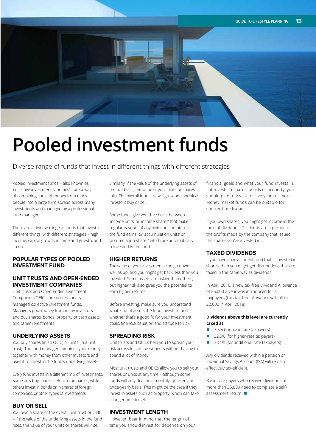

### **Pooled investment funds**

Diverse range of funds that invest in different things with different strategies

Pooled investment funds – also known as 'collective investment schemes' – are a way of combining sums of money from many people into a large fund spread across many investments and managed by a professional fund manager.

There are a diverse range of funds that invest in different things, with different strategies – high income, capital growth, income and growth, and so on.

#### **POPULAR TYPES OF POOLED INVESTMENT FUND**

#### **UNIT TRUSTS AND OPEN-ENDED INVESTMENT COMPANIES**

Unit trusts and Open-Ended Investment Companies (OEICs) are professionally managed collective investment funds. Managers pool money from many investors and buy shares, bonds, property or cash assets, and other investments.

#### **UNDERLYING ASSETS**

You buy shares (in an OEIC) or units (in a unit trust). The fund manager combines your money together with money from other investors and uses it to invest in the fund's underlying assets.

Every fund invests in a different mix of investments. Some only buy shares in British companies, while others invest in bonds or in shares of foreign companies, or other types of investments.

#### **BUY OR SELL**

You own a share of the overall unit trust or OEIC – if the value of the underlying assets in the fund rises, the value of your units or shares will rise.

Similarly, if the value of the underlying assets of the fund falls, the value of your units or shares falls. The overall fund size will grow and shrink as investors buy or sell.

Some funds give you the choice between 'income units' or 'income shares' that make regular payouts of any dividends or interest the fund earns, or 'accumulation units' or 'accumulation shares' which are automatically reinvested in the fund.

#### **HIGHER RETURNS**

The value of your investments can go down as well as up, and you might get back less than you invested. Some assets are riskier than others, but higher risk also gives you the potential to earn higher returns.

Before investing, make sure you understand what kind of assets the fund invests in and whether that's a good fit for your investment goals, financial situation and attitude to risk.

#### **SPREADING RISK**

Unit trusts and OEICs help you to spread your risk across lots of investments without having to spend a lot of money.

Most unit trusts and OEICs allow you to sell your shares or units at any time – although some funds will only deal on a monthly, quarterly or twice-yearly basis. This might be the case if they invest in assets such as property, which can take a longer time to sell.

#### **INVESTMENT LENGTH**

However, bear in mind that the length of time you should invest for depends on your financial goals and what your fund invests in. If it invests in shares, bonds or property, you should plan to invest for five years or more. Money market funds can be suitable for shorter time frames.

If you own shares, you might get income in the form of dividends. Dividends are a portion of the profits made by the company that issued the shares you've invested in.

#### **TAXED DIVIDENDS**

If you have an investment fund that is invested in shares, then you might get distributions that are taxed in the same way as dividends.

In April 2016, a new tax-free Dividend Allowance of £5,000 a year was introduced for all taxpayers (this tax-free allowance will fall to £2,000 in April 2018).

#### **Dividends above this level are currently taxed at:**

- $\blacksquare$  7.5% (for basic-rate taxpayers)
- 32.5% (for higher-rate taxpayers)
- 38.1% (for additional-rate taxpayers)

Any dividends received within a pension or Individual Savings Account (ISA) will remain effectively tax-efficient.

Basic-rate payers who receive dividends of more than £5,000 need to complete a self- $\overline{\phantom{a}}$ assessment return.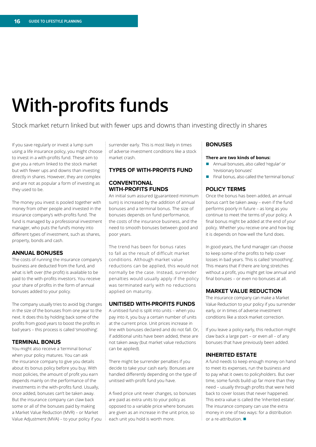### **With-profits funds**

Stock market return linked but with fewer ups and downs than investing directly in shares

If you save regularly or invest a lump sum using a life insurance policy, you might choose to invest in a with-profits fund. These aim to give you a return linked to the stock market but with fewer ups and downs than investing directly in shares. However, they are complex and are not as popular a form of investing as they used to be.

The money you invest is pooled together with money from other people and invested in the insurance company's with-profits fund. The fund is managed by a professional investment manager, who puts the fund's money into different types of investment, such as shares, property, bonds and cash.

#### **ANNUAL BONUSES**

The costs of running the insurance company's business are deducted from the fund, and what is left over (the profit) is available to be paid to the with-profits investors. You receive your share of profits in the form of annual bonuses added to your policy.

The company usually tries to avoid big changes in the size of the bonuses from one year to the next. It does this by holding back some of the profits from good years to boost the profits in bad years – this process is called 'smoothing'.

#### **TERMINAL BONUS**

You might also receive a 'terminal bonus' when your policy matures. You can ask the insurance company to give you details about its bonus policy before you buy. With most policies, the amount of profit you earn depends mainly on the performance of the investments in the with-profits fund. Usually, once added, bonuses can't be taken away. But the insurance company can claw back some or all of the bonuses paid by making a Market Value Reduction (MVR) – or Market Value Adjustment (MVA) – to your policy if you surrender early. This is most likely in times of adverse investment conditions like a stock market crash.

#### **TYPES OF WITH-PROFITS FUND**

#### **CONVENTIONAL WITH-PROFITS FUNDS**

An initial sum assured (guaranteed minimum sum) is increased by the addition of annual bonuses and a terminal bonus. The size of bonuses depends on fund performance, the costs of the insurance business, and the need to smooth bonuses between good and poor years.

The trend has been for bonus rates to fall as the result of difficult market conditions. Although market value reductions can be applied, this would not normally be the case. Instead, surrender penalties would usually apply if the policy was terminated early with no reductions applied on maturity.

#### **UNITISED WITH-PROFITS FUNDS**

A unitised fund is split into units – when you pay into it, you buy a certain number of units at the current price. Unit prices increase in line with bonuses declared and do not fall. Or, if additional units have been added, these are not taken away (but market value reductions can be applied).

There might be surrender penalties if you decide to take your cash early. Bonuses are handled differently depending on the type of unitised with-profit fund you have.

A fixed price unit never changes, so bonuses are paid as extra units to your policy as opposed to a variable price where bonuses are given as an increase in the unit price, so each unit you hold is worth more.

#### **BONUSES**

#### **There are two kinds of bonus:**

- n Annual bonuses, also called 'regular' or 'revisionary bonuses'
- $\blacksquare$  Final bonus, also called the 'terminal bonus'

#### **POLICY TERMS**

Once the bonus has been added, an annual bonus can't be taken away – even if the fund performs poorly in future – as long as you continue to meet the terms of your policy. A final bonus might be added at the end of your policy. Whether you receive one and how big it is depends on how well the fund does.

In good years, the fund manager can choose to keep some of the profits to help cover losses in bad years. This is called 'smoothing'. This means that if there are long stretches without a profit, you might get low annual and final bonuses – or even no bonuses at all.

#### **MARKET VALUE REDUCTION**

The insurance company can make a Market Value Reduction to your policy if you surrender early, or in times of adverse investment conditions like a stock market correction.

If you leave a policy early, this reduction might claw back a large part – or even all – of any bonuses that have previously been added.

#### **INHERITED ESTATE**

A fund needs to keep enough money on hand to meet its expenses, run the business and to pay what it owes to policyholders. But over time, some funds build up far more than they need – usually through profits that were held back to cover losses that never happened. This extra value is called the 'inherited estate'. The insurance company can use the extra money in one of two ways: for a distribution or a re-attribution.  $\blacksquare$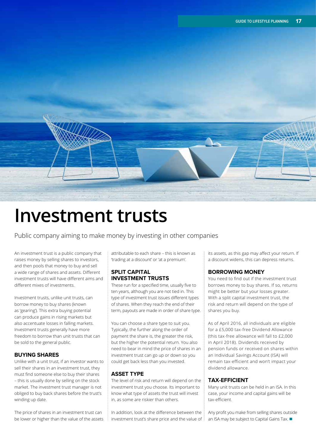

### **Investment trusts**

Public company aiming to make money by investing in other companies

An investment trust is a public company that raises money by selling shares to investors, and then pools that money to buy and sell a wide range of shares and assets. Different investment trusts will have different aims and different mixes of investments.

Investment trusts, unlike unit trusts, can borrow money to buy shares (known as 'gearing'). This extra buying potential can produce gains in rising markets but also accentuate losses in falling markets. Investment trusts generally have more freedom to borrow than unit trusts that can be sold to the general public.

#### **BUYING SHARES**

Unlike with a unit trust, if an investor wants to sell their shares in an investment trust, they must find someone else to buy their shares – this is usually done by selling on the stock market. The investment trust manager is not obliged to buy back shares before the trust's winding up date.

The price of shares in an investment trust can be lower or higher than the value of the assets attributable to each share – this is known as 'trading at a discount' or 'at a premium'.

#### **SPLIT CAPITAL INVESTMENT TRUSTS**

These run for a specified time, usually five to ten years, although you are not tied in. This type of investment trust issues different types of shares. When they reach the end of their term, payouts are made in order of share type.

You can choose a share type to suit you. Typically, the further along the order of payment the share is, the greater the risk, but the higher the potential return. You also need to bear in mind the price of shares in an investment trust can go up or down so you could get back less than you invested.

#### **ASSET TYPE**

The level of risk and return will depend on the investment trust you choose. Its important to know what type of assets the trust will invest in, as some are riskier than others.

In addition, look at the difference between the investment trust's share price and the value of its assets, as this gap may affect your return. If a discount widens, this can depress returns.

#### **BORROWING MONEY**

You need to find out if the investment trust borrows money to buy shares. If so, returns might be better but your losses greater. With a split capital investment trust, the risk and return will depend on the type of shares you buy.

As of April 2016, all individuals are eligible for a £5,000 tax-free Dividend Allowance (this tax-free allowance will fall to £2,000 in April 2018). Dividends received by pension funds or received on shares within an Individual Savings Account (ISA) will remain tax-efficient and won't impact your dividend allowance.

#### **TAX-EFFICIENT**

Many unit trusts can be held in an ISA. In this case, your income and capital gains will be tax-efficient.

Any profit you make from selling shares outside an ISA may be subject to Capital Gains Tax.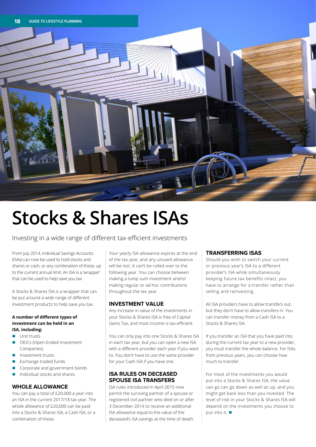

### **Stocks & Shares ISAs**

Investing in a wide range of different tax-efficient investments

From July 2014, Individual Savings Accounts (ISAs) can now be used to hold stocks and shares or cash, or any combination of these, up to the current annual limit. An ISA is a 'wrapper' that can be used to help save you tax.

A Stocks & Shares ISA is a wrapper that can be put around a wide range of different investment products to help save you tax.

#### **A number of different types of investment can be held in an ISA, including:**

- **n** Unit trusts
- OEICs (Open-Ended Investment Companies)
- Investment trusts
- Exchange traded funds
- Corporate and government bonds
- n Individual stocks and shares

#### **WHOLE ALLOWANCE**

You can pay a total of £20,000 a year into an ISA in the current 2017/18 tax year. The whole allowance of £20,000 can be paid into a Stocks & Shares ISA, a Cash ISA, or a combination of these.

Your yearly ISA allowance expires at the end of the tax year, and any unused allowance will be lost. It can't be rolled over to the following year. You can choose between making a lump sum investment and/or making regular or ad hoc contributions throughout the tax year.

#### **INVESTMENT VALUE**

Any increase in value of the investments in your Stocks & Shares ISA is free of Capital Gains Tax, and most income is tax-efficient.

You can only pay into one Stocks & Shares ISA in each tax year, but you can open a new ISA with a different provider each year if you want to. You don't have to use the same provider for your Cash ISA if you have one.

#### **ISA RULES ON DECEASED SPOUSE ISA TRANSFERS**

ISA rules introduced in April 2015 now permit the surviving partner of a spouse or registered civil partner who died on or after 3 December 2014 to receive an additional ISA allowance equal to the value of the deceased's ISA savings at the time of death.

#### **TRANSFERRING ISAS**

Should you wish to switch your current or previous year's ISA to a different provider's ISA while simultaneously keeping future tax benefits intact, you have to arrange for a transfer rather than selling and reinvesting.

All ISA providers have to allow transfers out, but they don't have to allow transfers in. You can transfer money from a Cash ISA to a Stocks & Shares ISA.

If you transfer an ISA that you have paid into during the current tax year to a new provider, you must transfer the whole balance. For ISAs from previous years, you can choose how much to transfer.

For most of the investments you would put into a Stocks & Shares ISA, the value can go can go down as well as up, and you might get back less than you invested. The level of risk in your Stocks & Shares ISA will depend on the investments you choose to put into it.  $\blacksquare$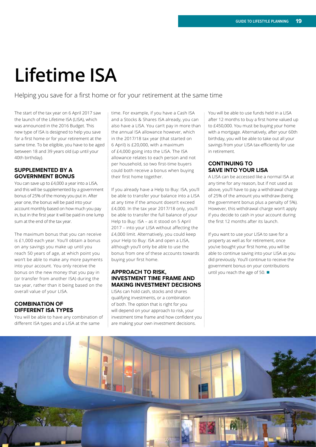### **Lifetime ISA**

Helping you save for a first home or for your retirement at the same time

The start of the tax year on 6 April 2017 saw the launch of the Lifetime ISA (LISA), which was announced in the 2016 Budget. This new type of ISA is designed to help you save for a first home or for your retirement at the same time. To be eligible, you have to be aged between 18 and 39 years old (up until your 40th birthday).

#### **SUPPLEMENTED BY A GOVERNMENT BONUS**

You can save up to £4,000 a year into a LISA, and this will be supplemented by a government bonus of 25% of the money you put in. After year one, the bonus will be paid into your account monthly based on how much you pay in, but in the first year it will be paid in one lump sum at the end of the tax year.

The maximum bonus that you can receive is £1,000 each year. You'll obtain a bonus on any savings you make up until you reach 50 years of age, at which point you won't be able to make any more payments into your account. You only receive the bonus on the new money that you pay in (or transfer from another ISA) during the tax year, rather than it being based on the overall value of your LISA.

#### **COMBINATION OF DIFFERENT ISA TYPES**

You will be able to have any combination of different ISA types and a LISA at the same

time. For example, if you have a Cash ISA and a Stocks & Shares ISA already, you can also have a LISA. You can't pay in more than the annual ISA allowance however, which in the 2017/18 tax year (that started on 6 April) is £20,000, with a maximum of £4,000 going into the LISA. The ISA allowance relates to each person and not per household, so two first-time buyers could both receive a bonus when buying their first home together.

If you already have a Help to Buy: ISA, you'll be able to transfer your balance into a LISA at any time if the amount doesn't exceed £4,000. In the tax year 2017/18 only, you'll be able to transfer the full balance of your Help to Buy: ISA – as it stood on 5 April 2017 – into your LISA without affecting the £4,000 limit. Alternatively, you could keep your Help to Buy: ISA and open a LISA, although you'll only be able to use the bonus from one of these accounts towards buying your first home.

#### **APPROACH TO RISK, INVESTMENT TIME FRAME AND MAKING INVESTMENT DECISIONS**

LISAs can hold cash, stocks and shares qualifying investments, or a combination of both. The option that is right for you will depend on your approach to risk, your investment time frame and how confident you are making your own investment decisions.

You will be able to use funds held in a LISA after 12 months to buy a first home valued up to £450,000. You must be buying your home with a mortgage. Alternatively, after your 60th birthday, you will be able to take out all your savings from your LISA tax-efficiently for use in retirement.

#### **CONTINUING TO SAVE INTO YOUR LISA**

A LISA can be accessed like a normal ISA at any time for any reason, but if not used as above, you'll have to pay a withdrawal charge of 25% of the amount you withdraw (being the government bonus plus a penalty of 5%). However, this withdrawal charge won't apply if you decide to cash in your account during the first 12 months after its launch.

If you want to use your LISA to save for a property as well as for retirement, once you've bought your first home, you will be able to continue saving into your LISA as you did previously. You'll continue to receive the government bonus on your contributions until you reach the age of 50.  $\blacksquare$ 

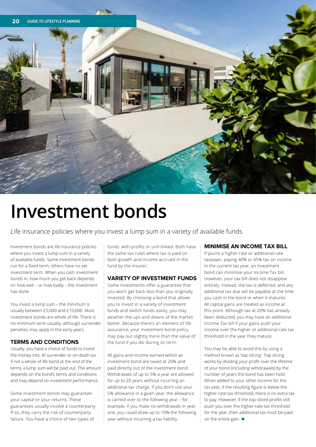

### **Investment bonds**

Life insurance policies where you invest a lump sum in a variety of available funds

Investment bonds are life insurance policies where you invest a lump sum in a variety of available funds. Some investment bonds run for a fixed term, others have no set investment term. When you cash investment bonds in, how much you get back depends on how well – or how badly – the investment has done.

You invest a lump sum – the minimum is usually between £5,000 and £10,000. Most investment bonds are whole of life. There is no minimum term usually, although surrender penalties may apply in the early years.

#### **TERMS AND CONDITIONS**

Usually, you have a choice of funds to invest the money into. At surrender or on death (or if not a whole of life bond at the end of the term), a lump sum will be paid out. The amount depends on the bond's terms and conditions and may depend on investment performance.

Some investment bonds may guarantee your capital or your returns. These guarantees usually involve a counterparty. If so, they carry the risk of counterparty failure. You have a choice of two types of

funds: with-profits or unit-linked. Both have the same tax rules where tax is paid on both growth and income accrued in the fund by the insurer.

#### **VARIETY OF INVESTMENT FUNDS**

Some investments offer a guarantee that you won't get back less than you originally invested. By choosing a bond that allows you to invest in a variety of investment funds and switch funds easily, you may weather the ups and downs of the market better. Because there's an element of life assurance, your investment bond policy may pay out slightly more than the value of the fund if you die during its term.

All gains and income earned within an investment bond are taxed at 20% and paid directly out of the investment bond. Withdrawals of up to 5% a year are allowed for up to 20 years without incurring an additional tax charge. If you don't use your 5% allowance in a given year, the allowance is carried over to the following year – for example, if you make no withdrawals in year one, you could draw up to 10% the following year without incurring a tax liability.

#### **MINIMISE AN INCOME TAX BILL**

If you're a higher-rate or additional-rate taxpayer, paying 40% or 45% tax on income in the current tax year, an investment bond can minimise your Income Tax bill. However, your tax bill does not disappear entirely. Instead, the tax is deferred, and any additional tax due will be payable at the time you cash in the bond or when it matures. All capital gains are treated as income at this point. Although tax at 20% has already been deducted, you may have an additional Income Tax bill if your gains push your income over the higher or additional-rate tax threshold in the year they mature.

You may be able to avoid this by using a method known as 'top slicing'. Top slicing works by dividing your profit over the lifetime of your bond (including withdrawals) by the number of years the bond has been held. When added to your other income for the tax year, if the resulting figure is below the higher-rate tax threshold, there is no extra tax to pay. However, if the top-sliced profits still push you over the higher-rate tax threshold for the year, then additional tax must be paid on the entire gain.  $\blacksquare$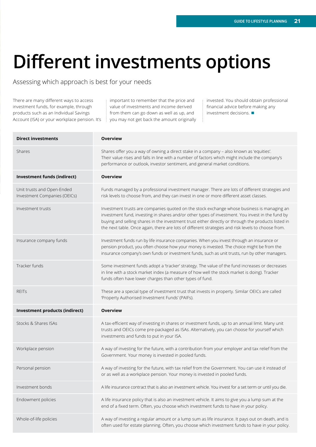## **Different investments options**

Assessing which approach is best for your needs

There are many different ways to access investment funds, for example, through products such as an Individual Savings Account (ISA) or your workplace pension. It's

important to remember that the price and value of investments and income derived from them can go down as well as up, and you may not get back the amount originally invested. You should obtain professional financial advice before making any investment decisions.  $\blacksquare$ 

| <b>Direct investments</b>                                  | <b>Overview</b>                                                                                                                                                                                                                                                                                                                                                                                             |
|------------------------------------------------------------|-------------------------------------------------------------------------------------------------------------------------------------------------------------------------------------------------------------------------------------------------------------------------------------------------------------------------------------------------------------------------------------------------------------|
| Shares                                                     | Shares offer you a way of owning a direct stake in a company - also known as 'equities'.<br>Their value rises and falls in line with a number of factors which might include the company's<br>performance or outlook, investor sentiment, and general market conditions.                                                                                                                                    |
| Investment funds (indirect)                                | <b>Overview</b>                                                                                                                                                                                                                                                                                                                                                                                             |
| Unit trusts and Open-Ended<br>Investment Companies (OEICs) | Funds managed by a professional investment manager. There are lots of different strategies and<br>risk levels to choose from, and they can invest in one or more different asset classes.                                                                                                                                                                                                                   |
| Investment trusts                                          | Investment trusts are companies quoted on the stock exchange whose business is managing an<br>investment fund, investing in shares and/or other types of investment. You invest in the fund by<br>buying and selling shares in the investment trust either directly or through the products listed in<br>the next table. Once again, there are lots of different strategies and risk levels to choose from. |
| Insurance company funds                                    | Investment funds run by life insurance companies. When you invest through an insurance or<br>pension product, you often choose how your money is invested. The choice might be from the<br>insurance company's own funds or investment funds, such as unit trusts, run by other managers.                                                                                                                   |
| Tracker funds                                              | Some investment funds adopt a 'tracker' strategy. The value of the fund increases or decreases<br>in line with a stock market index (a measure of how well the stock market is doing). Tracker<br>funds often have lower charges than other types of fund.                                                                                                                                                  |
| <b>REITs</b>                                               | These are a special type of investment trust that invests in property. Similar OEICs are called<br>'Property Authorised Investment Funds' (PAIFs).                                                                                                                                                                                                                                                          |
| Investment products (indirect)                             | <b>Overview</b>                                                                                                                                                                                                                                                                                                                                                                                             |
| Stocks & Shares ISAs                                       | A tax-efficient way of investing in shares or investment funds, up to an annual limit. Many unit<br>trusts and OEICs come pre-packaged as ISAs. Alternatively, you can choose for yourself which<br>investments and funds to put in your ISA.                                                                                                                                                               |
| Workplace pension                                          | A way of investing for the future, with a contribution from your employer and tax relief from the<br>Government. Your money is invested in pooled funds.                                                                                                                                                                                                                                                    |
| Personal pension                                           | A way of investing for the future, with tax relief from the Government. You can use it instead of<br>or as well as a workplace pension. Your money is invested in pooled funds.                                                                                                                                                                                                                             |
| Investment bonds                                           | A life insurance contract that is also an investment vehicle. You invest for a set term or until you die.                                                                                                                                                                                                                                                                                                   |
| Endowment policies                                         | A life insurance policy that is also an investment vehicle. It aims to give you a lump sum at the<br>end of a fixed term. Often, you choose which investment funds to have in your policy.                                                                                                                                                                                                                  |
| Whole-of-life policies                                     | A way of investing a regular amount or a lump sum as life insurance. It pays out on death, and is<br>often used for estate planning. Often, you choose which investment funds to have in your policy.                                                                                                                                                                                                       |